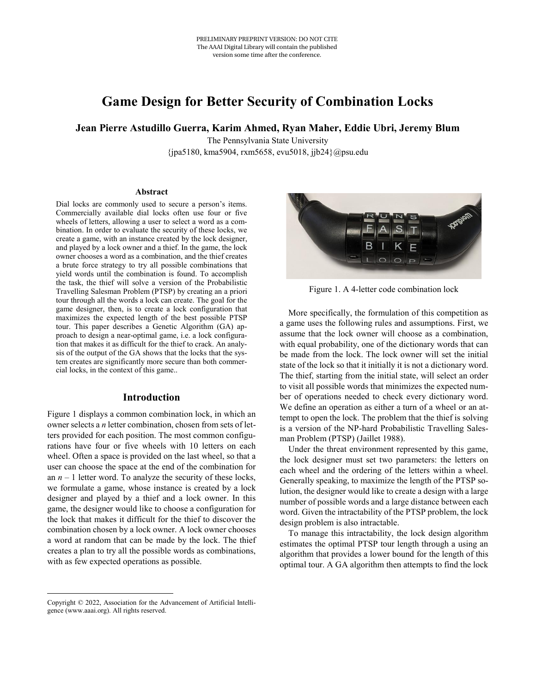# **Game Design for Better Security of Combination Locks**

#### **Jean Pierre Astudillo Guerra, Karim Ahmed, Ryan Maher, Eddie Ubri, Jeremy Blum**

The Pennsylvania State University {jpa5180, kma5904, rxm5658, evu5018, jjb24}@psu.edu

#### **Abstract**

Dial locks are commonly used to secure a person's items. Commercially available dial locks often use four or five wheels of letters, allowing a user to select a word as a combination. In order to evaluate the security of these locks, we create a game, with an instance created by the lock designer, and played by a lock owner and a thief. In the game, the lock owner chooses a word as a combination, and the thief creates a brute force strategy to try all possible combinations that yield words until the combination is found. To accomplish the task, the thief will solve a version of the Probabilistic Travelling Salesman Problem (PTSP) by creating an a priori tour through all the words a lock can create. The goal for the game designer, then, is to create a lock configuration that maximizes the expected length of the best possible PTSP tour. This paper describes a Genetic Algorithm (GA) approach to design a near-optimal game, i.e. a lock configuration that makes it as difficult for the thief to crack. An analysis of the output of the GA shows that the locks that the system creates are significantly more secure than both commercial locks, in the context of this game..

#### **Introduction**

Figure 1 displays a common combination lock, in which an owner selects a *n* letter combination, chosen from sets of letters provided for each position. The most common configurations have four or five wheels with 10 letters on each wheel. Often a space is provided on the last wheel, so that a user can choose the space at the end of the combination for an  $n-1$  letter word. To analyze the security of these locks, we formulate a game, whose instance is created by a lock designer and played by a thief and a lock owner. In this game, the designer would like to choose a configuration for the lock that makes it difficult for the thief to discover the combination chosen by a lock owner. A lock owner chooses a word at random that can be made by the lock. The thief creates a plan to try all the possible words as combinations, with as few expected operations as possible.



Figure 1. A 4-letter code combination lock

More specifically, the formulation of this competition as a game uses the following rules and assumptions. First, we assume that the lock owner will choose as a combination, with equal probability, one of the dictionary words that can be made from the lock. The lock owner will set the initial state of the lock so that it initially it is not a dictionary word. The thief, starting from the initial state, will select an order to visit all possible words that minimizes the expected number of operations needed to check every dictionary word. We define an operation as either a turn of a wheel or an attempt to open the lock. The problem that the thief is solving is a version of the NP-hard Probabilistic Travelling Salesman Problem (PTSP) (Jaillet 1988).

Under the threat environment represented by this game, the lock designer must set two parameters: the letters on each wheel and the ordering of the letters within a wheel. Generally speaking, to maximize the length of the PTSP solution, the designer would like to create a design with a large number of possible words and a large distance between each word. Given the intractability of the PTSP problem, the lock design problem is also intractable.

To manage this intractability, the lock design algorithm estimates the optimal PTSP tour length through a using an algorithm that provides a lower bound for the length of this optimal tour. A GA algorithm then attempts to find the lock

 $\overline{a}$ 

Copyright © 2022, Association for the Advancement of Artificial Intelligence (www.aaai.org). All rights reserved.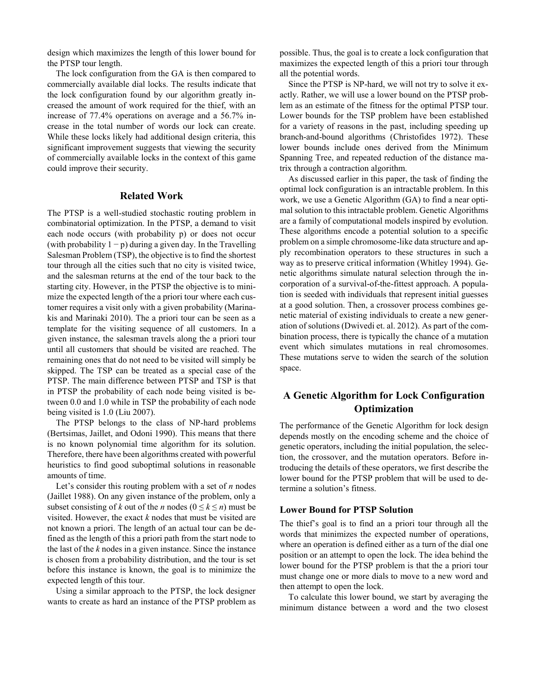design which maximizes the length of this lower bound for the PTSP tour length.

The lock configuration from the GA is then compared to commercially available dial locks. The results indicate that the lock configuration found by our algorithm greatly increased the amount of work required for the thief, with an increase of 77.4% operations on average and a 56.7% increase in the total number of words our lock can create. While these locks likely had additional design criteria, this significant improvement suggests that viewing the security of commercially available locks in the context of this game could improve their security.

#### **Related Work**

The PTSP is a well-studied stochastic routing problem in combinatorial optimization. In the PTSP, a demand to visit each node occurs (with probability p) or does not occur (with probability  $1 - p$ ) during a given day. In the Travelling Salesman Problem (TSP), the objective is to find the shortest tour through all the cities such that no city is visited twice, and the salesman returns at the end of the tour back to the starting city. However, in the PTSP the objective is to minimize the expected length of the a priori tour where each customer requires a visit only with a given probability (Marinakis and Marinaki 2010). The a priori tour can be seen as a template for the visiting sequence of all customers. In a given instance, the salesman travels along the a priori tour until all customers that should be visited are reached. The remaining ones that do not need to be visited will simply be skipped. The TSP can be treated as a special case of the PTSP. The main difference between PTSP and TSP is that in PTSP the probability of each node being visited is between 0.0 and 1.0 while in TSP the probability of each node being visited is 1.0 (Liu 2007).

The PTSP belongs to the class of NP-hard problems (Bertsimas, Jaillet, and Odoni 1990). This means that there is no known polynomial time algorithm for its solution. Therefore, there have been algorithms created with powerful heuristics to find good suboptimal solutions in reasonable amounts of time.

Let's consider this routing problem with a set of *n* nodes (Jaillet 1988). On any given instance of the problem, only a subset consisting of *k* out of the *n* nodes ( $0 \le k \le n$ ) must be visited. However, the exact *k* nodes that must be visited are not known a priori. The length of an actual tour can be defined as the length of this a priori path from the start node to the last of the *k* nodes in a given instance. Since the instance is chosen from a probability distribution, and the tour is set before this instance is known, the goal is to minimize the expected length of this tour.

Using a similar approach to the PTSP, the lock designer wants to create as hard an instance of the PTSP problem as possible. Thus, the goal is to create a lock configuration that maximizes the expected length of this a priori tour through all the potential words.

Since the PTSP is NP-hard, we will not try to solve it exactly. Rather, we will use a lower bound on the PTSP problem as an estimate of the fitness for the optimal PTSP tour. Lower bounds for the TSP problem have been established for a variety of reasons in the past, including speeding up branch-and-bound algorithms (Christofides 1972). These lower bounds include ones derived from the Minimum Spanning Tree, and repeated reduction of the distance matrix through a contraction algorithm.

As discussed earlier in this paper, the task of finding the optimal lock configuration is an intractable problem. In this work, we use a Genetic Algorithm (GA) to find a near optimal solution to this intractable problem. Genetic Algorithms are a family of computational models inspired by evolution. These algorithms encode a potential solution to a specific problem on a simple chromosome-like data structure and apply recombination operators to these structures in such a way as to preserve critical information (Whitley 1994). Genetic algorithms simulate natural selection through the incorporation of a survival-of-the-fittest approach. A population is seeded with individuals that represent initial guesses at a good solution. Then, a crossover process combines genetic material of existing individuals to create a new generation of solutions (Dwivedi et. al. 2012). As part of the combination process, there is typically the chance of a mutation event which simulates mutations in real chromosomes. These mutations serve to widen the search of the solution space.

## **A Genetic Algorithm for Lock Configuration Optimization**

The performance of the Genetic Algorithm for lock design depends mostly on the encoding scheme and the choice of genetic operators, including the initial population, the selection, the crossover, and the mutation operators. Before introducing the details of these operators, we first describe the lower bound for the PTSP problem that will be used to determine a solution's fitness.

#### **Lower Bound for PTSP Solution**

The thief's goal is to find an a priori tour through all the words that minimizes the expected number of operations, where an operation is defined either as a turn of the dial one position or an attempt to open the lock. The idea behind the lower bound for the PTSP problem is that the a priori tour must change one or more dials to move to a new word and then attempt to open the lock.

To calculate this lower bound, we start by averaging the minimum distance between a word and the two closest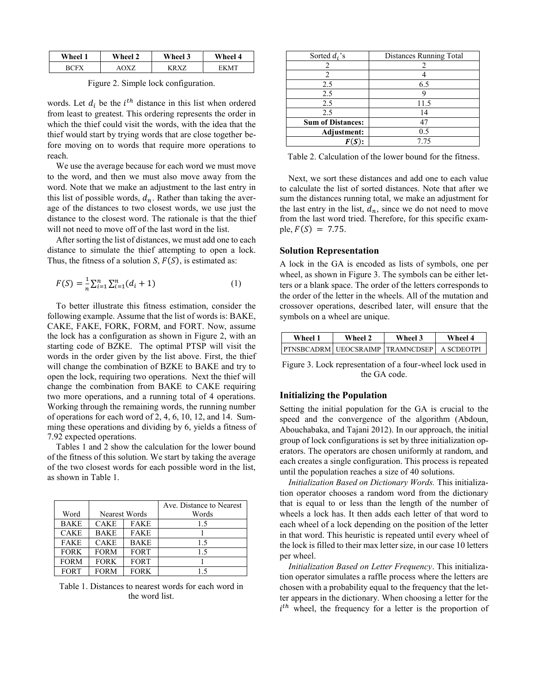| Wheel 1     | Wheel 2 | Wheel 3 | Wheel 4 |
|-------------|---------|---------|---------|
| <b>RUEV</b> | 7V7     | 17 V 7  |         |

Figure 2. Simple lock configuration.

words. Let  $d_i$  be the  $i<sup>th</sup>$  distance in this list when ordered from least to greatest. This ordering represents the order in which the thief could visit the words, with the idea that the thief would start by trying words that are close together before moving on to words that require more operations to reach.

We use the average because for each word we must move to the word, and then we must also move away from the word. Note that we make an adjustment to the last entry in this list of possible words,  $d_n$ . Rather than taking the average of the distances to two closest words, we use just the distance to the closest word. The rationale is that the thief will not need to move off of the last word in the list.

After sorting the list of distances, we must add one to each distance to simulate the thief attempting to open a lock. Thus, the fitness of a solution *S*,  $F(S)$ , is estimated as:

$$
F(S) = \frac{1}{n} \sum_{i=1}^{n} \sum_{i=1}^{n} (d_i + 1)
$$
 (1)

To better illustrate this fitness estimation, consider the following example. Assume that the list of words is: BAKE, CAKE, FAKE, FORK, FORM, and FORT. Now, assume the lock has a configuration as shown in Figure 2, with an starting code of BZKE. The optimal PTSP will visit the words in the order given by the list above. First, the thief will change the combination of BZKE to BAKE and try to open the lock, requiring two operations. Next the thief will change the combination from BAKE to CAKE requiring two more operations, and a running total of 4 operations. Working through the remaining words, the running number of operations for each word of 2, 4, 6, 10, 12, and 14. Summing these operations and dividing by 6, yields a fitness of 7.92 expected operations.

Tables 1 and 2 show the calculation for the lower bound of the fitness of this solution. We start by taking the average of the two closest words for each possible word in the list, as shown in Table 1.

|             |             |               | Ave. Distance to Nearest |
|-------------|-------------|---------------|--------------------------|
| Word        |             | Nearest Words | Words                    |
| <b>BAKE</b> | <b>CAKE</b> | <b>FAKE</b>   | 1.5                      |
| <b>CAKE</b> | <b>BAKE</b> | <b>FAKE</b>   |                          |
| <b>FAKE</b> | <b>CAKE</b> | <b>BAKE</b>   | 1.5                      |
| <b>FORK</b> | <b>FORM</b> | <b>FORT</b>   | 1.5                      |
| <b>FORM</b> | <b>FORK</b> | <b>FORT</b>   |                          |
| <b>FORT</b> | <b>FORM</b> | <b>FORK</b>   | 15                       |

Table 1. Distances to nearest words for each word in the word list.

| Sorted $d_i$ 's          | Distances Running Total |  |
|--------------------------|-------------------------|--|
|                          |                         |  |
| $\mathcal{L}$            |                         |  |
| 2.5                      | 6.5                     |  |
| 2.5                      |                         |  |
| 2.5                      | 11.5                    |  |
| 2.5                      | 14                      |  |
| <b>Sum of Distances:</b> | 47                      |  |
| Adjustment:              | 0.5                     |  |
|                          | 7.75                    |  |

Table 2. Calculation of the lower bound for the fitness.

Next, we sort these distances and add one to each value to calculate the list of sorted distances. Note that after we sum the distances running total, we make an adjustment for the last entry in the list,  $d_n$ , since we do not need to move from the last word tried. Therefore, for this specific example,  $F(S) = 7.75$ .

#### **Solution Representation**

A lock in the GA is encoded as lists of symbols, one per wheel, as shown in Figure 3. The symbols can be either letters or a blank space. The order of the letters corresponds to the order of the letter in the wheels. All of the mutation and crossover operations, described later, will ensure that the symbols on a wheel are unique.

| Wheel 1                                 | Wheel 2 | Wheel 3 | Wheel 4    |
|-----------------------------------------|---------|---------|------------|
| <b>PTNSBCADRM UEOCSRAIMP TRAMNCDSEP</b> |         |         | A SCDEOTPI |

Figure 3. Lock representation of a four-wheel lock used in the GA code.

#### **Initializing the Population**

Setting the initial population for the GA is crucial to the speed and the convergence of the algorithm (Abdoun, Abouchabaka, and Tajani 2012). In our approach, the initial group of lock configurations is set by three initialization operators. The operators are chosen uniformly at random, and each creates a single configuration. This process is repeated until the population reaches a size of 40 solutions.

*Initialization Based on Dictionary Words.* This initialization operator chooses a random word from the dictionary that is equal to or less than the length of the number of wheels a lock has. It then adds each letter of that word to each wheel of a lock depending on the position of the letter in that word. This heuristic is repeated until every wheel of the lock is filled to their max letter size, in our case 10 letters per wheel.

*Initialization Based on Letter Frequency*. This initialization operator simulates a raffle process where the letters are chosen with a probability equal to the frequency that the letter appears in the dictionary. When choosing a letter for the  $i^{th}$  wheel, the frequency for a letter is the proportion of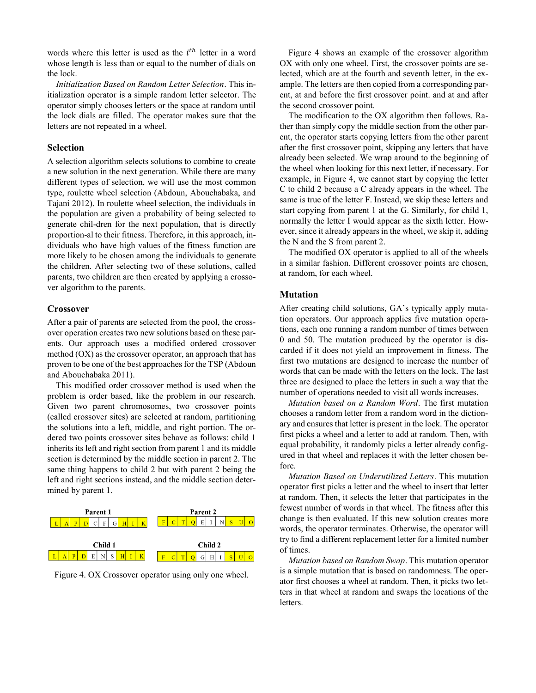words where this letter is used as the  $i^{th}$  letter in a word whose length is less than or equal to the number of dials on the lock.

*Initialization Based on Random Letter Selection*. This initialization operator is a simple random letter selector. The operator simply chooses letters or the space at random until the lock dials are filled. The operator makes sure that the letters are not repeated in a wheel.

#### **Selection**

A selection algorithm selects solutions to combine to create a new solution in the next generation. While there are many different types of selection, we will use the most common type, roulette wheel selection (Abdoun, Abouchabaka, and Tajani 2012). In roulette wheel selection, the individuals in the population are given a probability of being selected to generate chil-dren for the next population, that is directly proportion-al to their fitness. Therefore, in this approach, individuals who have high values of the fitness function are more likely to be chosen among the individuals to generate the children. After selecting two of these solutions, called parents, two children are then created by applying a crossover algorithm to the parents.

#### **Crossover**

After a pair of parents are selected from the pool, the crossover operation creates two new solutions based on these parents. Our approach uses a modified ordered crossover method (OX) as the crossover operator, an approach that has proven to be one of the best approaches for the TSP (Abdoun and Abouchabaka 2011).

This modified order crossover method is used when the problem is order based, like the problem in our research. Given two parent chromosomes, two crossover points (called crossover sites) are selected at random, partitioning the solutions into a left, middle, and right portion. The ordered two points crossover sites behave as follows: child 1 inherits its left and right section from parent 1 and its middle section is determined by the middle section in parent 2. The same thing happens to child 2 but with parent 2 being the left and right sections instead, and the middle section determined by parent 1.



Figure 4. OX Crossover operator using only one wheel.

Figure 4 shows an example of the crossover algorithm OX with only one wheel. First, the crossover points are selected, which are at the fourth and seventh letter, in the example. The letters are then copied from a corresponding parent, at and before the first crossover point. and at and after the second crossover point.

The modification to the OX algorithm then follows. Rather than simply copy the middle section from the other parent, the operator starts copying letters from the other parent after the first crossover point, skipping any letters that have already been selected. We wrap around to the beginning of the wheel when looking for this next letter, if necessary. For example, in Figure 4, we cannot start by copying the letter C to child 2 because a C already appears in the wheel. The same is true of the letter F. Instead, we skip these letters and start copying from parent 1 at the G. Similarly, for child 1, normally the letter I would appear as the sixth letter. However, since it already appears in the wheel, we skip it, adding the N and the S from parent 2.

The modified OX operator is applied to all of the wheels in a similar fashion. Different crossover points are chosen, at random, for each wheel.

#### **Mutation**

After creating child solutions, GA's typically apply mutation operators. Our approach applies five mutation operations, each one running a random number of times between 0 and 50. The mutation produced by the operator is discarded if it does not yield an improvement in fitness. The first two mutations are designed to increase the number of words that can be made with the letters on the lock. The last three are designed to place the letters in such a way that the number of operations needed to visit all words increases.

*Mutation based on a Random Word*. The first mutation chooses a random letter from a random word in the dictionary and ensures that letter is present in the lock. The operator first picks a wheel and a letter to add at random. Then, with equal probability, it randomly picks a letter already configured in that wheel and replaces it with the letter chosen before.

*Mutation Based on Underutilized Letters*. This mutation operator first picks a letter and the wheel to insert that letter at random. Then, it selects the letter that participates in the fewest number of words in that wheel. The fitness after this change is then evaluated. If this new solution creates more words, the operator terminates. Otherwise, the operator will try to find a different replacement letter for a limited number of times.

*Mutation based on Random Swap*. This mutation operator is a simple mutation that is based on randomness. The operator first chooses a wheel at random. Then, it picks two letters in that wheel at random and swaps the locations of the letters.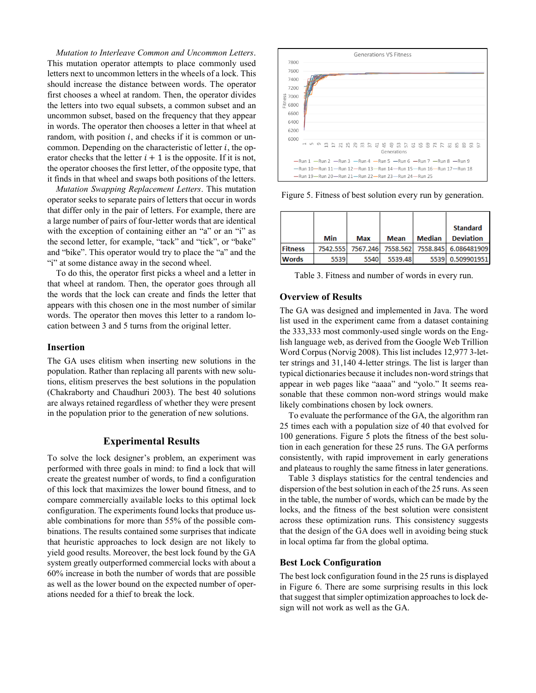*Mutation to Interleave Common and Uncommon Letters*. This mutation operator attempts to place commonly used letters next to uncommon letters in the wheels of a lock. This should increase the distance between words. The operator first chooses a wheel at random. Then, the operator divides the letters into two equal subsets, a common subset and an uncommon subset, based on the frequency that they appear in words. The operator then chooses a letter in that wheel at random, with position  $i$ , and checks if it is common or uncommon. Depending on the characteristic of letter  $i$ , the operator checks that the letter  $i + 1$  is the opposite. If it is not, the operator chooses the first letter, of the opposite type, that it finds in that wheel and swaps both positions of the letters.

*Mutation Swapping Replacement Letters*. This mutation operator seeks to separate pairs of letters that occur in words that differ only in the pair of letters. For example, there are a large number of pairs of four-letter words that are identical with the exception of containing either an "a" or an "i" as the second letter, for example, "tack" and "tick", or "bake" and "bike". This operator would try to place the "a" and the "i" at some distance away in the second wheel.

To do this, the operator first picks a wheel and a letter in that wheel at random. Then, the operator goes through all the words that the lock can create and finds the letter that appears with this chosen one in the most number of similar words. The operator then moves this letter to a random location between 3 and 5 turns from the original letter.

#### **Insertion**

The GA uses elitism when inserting new solutions in the population. Rather than replacing all parents with new solutions, elitism preserves the best solutions in the population (Chakraborty and Chaudhuri 2003). The best 40 solutions are always retained regardless of whether they were present in the population prior to the generation of new solutions.

#### **Experimental Results**

To solve the lock designer's problem, an experiment was performed with three goals in mind: to find a lock that will create the greatest number of words, to find a configuration of this lock that maximizes the lower bound fitness, and to compare commercially available locks to this optimal lock configuration. The experiments found locks that produce usable combinations for more than 55% of the possible combinations. The results contained some surprises that indicate that heuristic approaches to lock design are not likely to yield good results. Moreover, the best lock found by the GA system greatly outperformed commercial locks with about a 60% increase in both the number of words that are possible as well as the lower bound on the expected number of operations needed for a thief to break the lock.



Figure 5. Fitness of best solution every run by generation.

|                |      |                   |             |        | <b>Standard</b>      |
|----------------|------|-------------------|-------------|--------|----------------------|
|                | Min  | Max               | <b>Mean</b> | Median | <b>Deviation</b>     |
| <b>Fitness</b> |      | 7542.555 7567.246 | 7558.562    |        | 7558.845 6.086481909 |
| <b>Words</b>   | 5539 | 5540              | 5539.48     | 5539   | 0.509901951          |

Table 3. Fitness and number of words in every run.

#### **Overview of Results**

The GA was designed and implemented in Java. The word list used in the experiment came from a dataset containing the 333,333 most commonly-used single words on the English language web, as derived from the Google Web Trillion Word Corpus (Norvig 2008). This list includes 12,977 3-letter strings and 31,140 4-letter strings. The list is larger than typical dictionaries because it includes non-word strings that appear in web pages like "aaaa" and "yolo." It seems reasonable that these common non-word strings would make likely combinations chosen by lock owners.

To evaluate the performance of the GA, the algorithm ran 25 times each with a population size of 40 that evolved for 100 generations. Figure 5 plots the fitness of the best solution in each generation for these 25 runs. The GA performs consistently, with rapid improvement in early generations and plateaus to roughly the same fitness in later generations.

Table 3 displays statistics for the central tendencies and dispersion of the best solution in each of the 25 runs. As seen in the table, the number of words, which can be made by the locks, and the fitness of the best solution were consistent across these optimization runs. This consistency suggests that the design of the GA does well in avoiding being stuck in local optima far from the global optima.

### **Best Lock Configuration**

The best lock configuration found in the 25 runs is displayed in Figure 6. There are some surprising results in this lock that suggest that simpler optimization approaches to lock design will not work as well as the GA.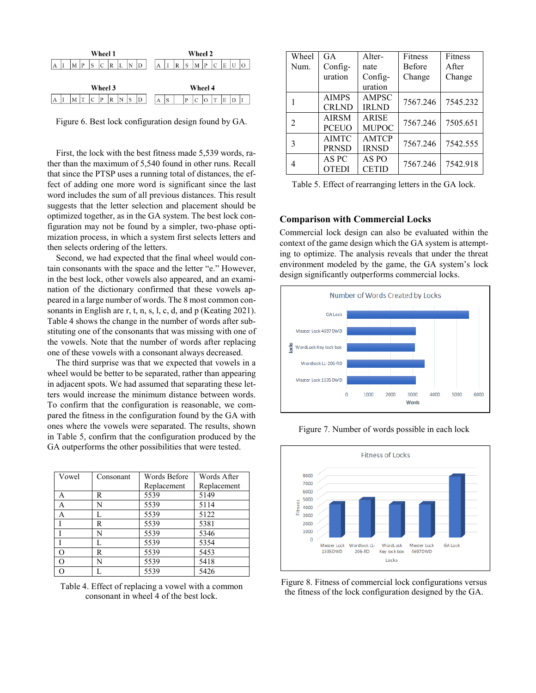

Figure 6. Best lock configuration design found by GA.

First, the lock with the best fitness made 5,539 words, rather than the maximum of 5,540 found in other runs. Recall that since the PTSP uses a running total of distances, the effect of adding one more word is significant since the last word includes the sum of all previous distances. This result suggests that the letter selection and placement should be optimized together, as in the GA system. The best lock configuration may not be found by a simpler, two-phase optimization process, in which a system first selects letters and then selects ordering of the letters.

Second, we had expected that the final wheel would contain consonants with the space and the letter "e." However, in the best lock, other vowels also appeared, and an examination of the dictionary confirmed that these vowels appeared in a large number of words. The 8 most common consonants in English are r, t, n, s, l, c, d, and p (Keating 2021). Table 4 shows the change in the number of words after substituting one of the consonants that was missing with one of the vowels. Note that the number of words after replacing one of these vowels with a consonant always decreased.

The third surprise was that we expected that vowels in a wheel would be better to be separated, rather than appearing in adjacent spots. We had assumed that separating these letters would increase the minimum distance between words. To confirm that the configuration is reasonable, we compared the fitness in the configuration found by the GA with ones where the vowels were separated. The results, shown in Table 5, confirm that the configuration produced by the GA outperforms the other possibilities that were tested.

| Vowel    | Consonant | Words Before | Words After |
|----------|-----------|--------------|-------------|
|          |           | Replacement  | Replacement |
| А        | R         | 5539         | 5149        |
| A        | N         | 5539         | 5114        |
| A        |           | 5539         | 5122        |
|          | R         | 5539         | 5381        |
|          | N         | 5539         | 5346        |
|          | L         | 5539         | 5354        |
| O        | R         | 5539         | 5453        |
| $\Omega$ | N         | 5539         | 5418        |
|          |           | 5539         | 5426        |

Table 4. Effect of replacing a vowel with a common consonant in wheel 4 of the best lock.

| Wheel                       | GA           | Alter-       | Fitness       | Fitness  |
|-----------------------------|--------------|--------------|---------------|----------|
| Num.                        | Config-      | nate         | <b>Before</b> | After    |
|                             | uration      | Config-      | Change        | Change   |
|                             |              | uration      |               |          |
|                             | <b>AIMPS</b> | AMPSC        | 7567.246      | 7545.232 |
|                             | <b>CRLND</b> | <b>IRLND</b> |               |          |
| $\mathcal{D}_{\mathcal{L}}$ | <b>AIRSM</b> | <b>ARISE</b> | 7567.246      | 7505.651 |
|                             | <b>PCEUO</b> | <b>MUPOC</b> |               |          |
| 3                           | <b>AIMTC</b> | <b>AMTCP</b> | 7567.246      | 7542.555 |
|                             | <b>PRNSD</b> | <b>IRNSD</b> |               |          |
|                             | AS PC        | AS PO        | 7567.246      | 7542.918 |
|                             | <b>OTEDI</b> | <b>CETID</b> |               |          |

Table 5. Effect of rearranging letters in the GA lock.

#### **Comparison with Commercial Locks**

Commercial lock design can also be evaluated within the context of the game design which the GA system is attempting to optimize. The analysis reveals that under the threat environment modeled by the game, the GA system's lock design significantly outperforms commercial locks.



Figure 7. Number of words possible in each lock



Figure 8. Fitness of commercial lock configurations versus the fitness of the lock configuration designed by the GA.